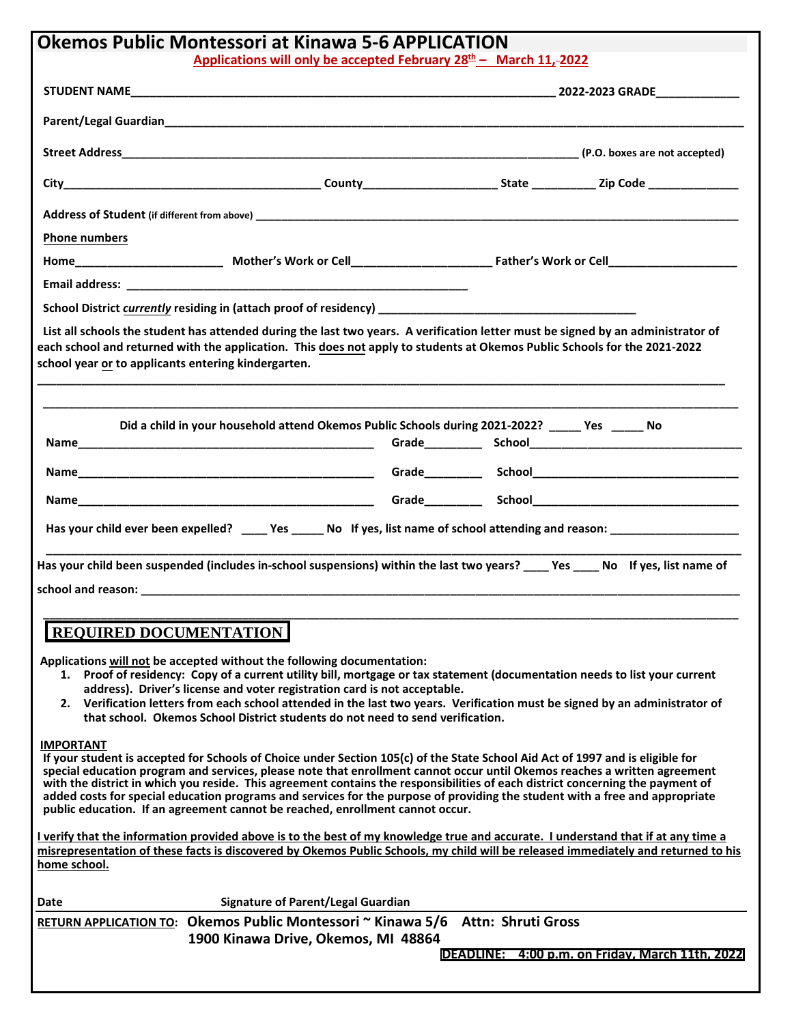| <b>Okemos Public Montessori at Kinawa 5-6 APPLICATION</b>                                                                                                                                                                                                                                                                                                                                                                                                                                                                                                                                                                          |  |  |                                                 |  |
|------------------------------------------------------------------------------------------------------------------------------------------------------------------------------------------------------------------------------------------------------------------------------------------------------------------------------------------------------------------------------------------------------------------------------------------------------------------------------------------------------------------------------------------------------------------------------------------------------------------------------------|--|--|-------------------------------------------------|--|
| Applications will only be accepted February $28th$ – March 11,-2022                                                                                                                                                                                                                                                                                                                                                                                                                                                                                                                                                                |  |  |                                                 |  |
|                                                                                                                                                                                                                                                                                                                                                                                                                                                                                                                                                                                                                                    |  |  |                                                 |  |
|                                                                                                                                                                                                                                                                                                                                                                                                                                                                                                                                                                                                                                    |  |  |                                                 |  |
|                                                                                                                                                                                                                                                                                                                                                                                                                                                                                                                                                                                                                                    |  |  |                                                 |  |
|                                                                                                                                                                                                                                                                                                                                                                                                                                                                                                                                                                                                                                    |  |  |                                                 |  |
|                                                                                                                                                                                                                                                                                                                                                                                                                                                                                                                                                                                                                                    |  |  |                                                 |  |
| <b>Phone numbers</b>                                                                                                                                                                                                                                                                                                                                                                                                                                                                                                                                                                                                               |  |  |                                                 |  |
|                                                                                                                                                                                                                                                                                                                                                                                                                                                                                                                                                                                                                                    |  |  |                                                 |  |
| Email address: No. 2016. The Contract of the Contract of the Contract of the Contract of the Contract of the Contract of the Contract of the Contract of the Contract of the Contract of the Contract of the Contract of the C                                                                                                                                                                                                                                                                                                                                                                                                     |  |  |                                                 |  |
|                                                                                                                                                                                                                                                                                                                                                                                                                                                                                                                                                                                                                                    |  |  |                                                 |  |
| List all schools the student has attended during the last two years. A verification letter must be signed by an administrator of<br>each school and returned with the application. This does not apply to students at Okemos Public Schools for the 2021-2022<br>school year or to applicants entering kindergarten.                                                                                                                                                                                                                                                                                                               |  |  |                                                 |  |
| Did a child in your household attend Okemos Public Schools during 2021-2022? _____ Yes ______ No                                                                                                                                                                                                                                                                                                                                                                                                                                                                                                                                   |  |  |                                                 |  |
|                                                                                                                                                                                                                                                                                                                                                                                                                                                                                                                                                                                                                                    |  |  |                                                 |  |
|                                                                                                                                                                                                                                                                                                                                                                                                                                                                                                                                                                                                                                    |  |  |                                                 |  |
| Has your child ever been expelled? ____ Yes _____ No If yes, list name of school attending and reason: ______________________                                                                                                                                                                                                                                                                                                                                                                                                                                                                                                      |  |  |                                                 |  |
|                                                                                                                                                                                                                                                                                                                                                                                                                                                                                                                                                                                                                                    |  |  |                                                 |  |
| Has your child been suspended (includes in-school suspensions) within the last two years? ____ Yes ____ No If yes, list name of                                                                                                                                                                                                                                                                                                                                                                                                                                                                                                    |  |  |                                                 |  |
|                                                                                                                                                                                                                                                                                                                                                                                                                                                                                                                                                                                                                                    |  |  |                                                 |  |
| <b>REQUIRED DOCUMENTATION</b><br>Applications will not be accepted without the following documentation:<br>1. Proof of residency: Copy of a current utility bill, mortgage or tax statement (documentation needs to list your current<br>address). Driver's license and voter registration card is not acceptable.<br>Verification letters from each school attended in the last two years. Verification must be signed by an administrator of<br>2.<br>that school. Okemos School District students do not need to send verification.                                                                                             |  |  |                                                 |  |
| <b>IMPORTANT</b><br>If your student is accepted for Schools of Choice under Section 105(c) of the State School Aid Act of 1997 and is eligible for<br>special education program and services, please note that enrollment cannot occur until Okemos reaches a written agreement<br>with the district in which you reside. This agreement contains the responsibilities of each district concerning the payment of<br>added costs for special education programs and services for the purpose of providing the student with a free and appropriate<br>public education. If an agreement cannot be reached, enrollment cannot occur. |  |  |                                                 |  |
| I verify that the information provided above is to the best of my knowledge true and accurate. I understand that if at any time a<br>misrepresentation of these facts is discovered by Okemos Public Schools, my child will be released immediately and returned to his<br>home school.                                                                                                                                                                                                                                                                                                                                            |  |  |                                                 |  |
| <b>Signature of Parent/Legal Guardian</b><br>Date                                                                                                                                                                                                                                                                                                                                                                                                                                                                                                                                                                                  |  |  |                                                 |  |
| RETURN APPLICATION TO: Okemos Public Montessori ~ Kinawa 5/6 Attn: Shruti Gross                                                                                                                                                                                                                                                                                                                                                                                                                                                                                                                                                    |  |  |                                                 |  |
| 1900 Kinawa Drive, Okemos, MI 48864                                                                                                                                                                                                                                                                                                                                                                                                                                                                                                                                                                                                |  |  | DEADLINE: 4:00 p.m. on Friday, March 11th, 2022 |  |
|                                                                                                                                                                                                                                                                                                                                                                                                                                                                                                                                                                                                                                    |  |  |                                                 |  |